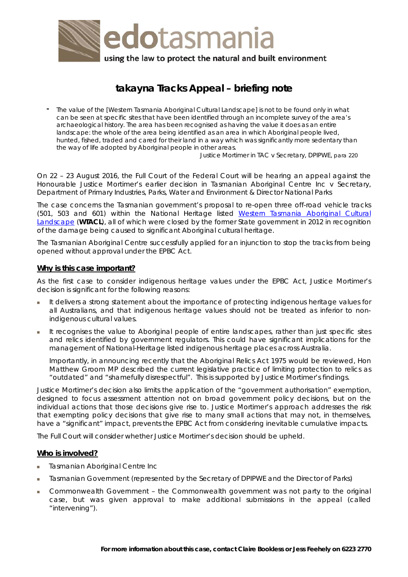

# **takayna Tracks Appeal – briefing note**

" *The value of the [Western Tasmania Aboriginal Cultural Landscape] is not to be found only in what can be seen at specific sites that have been identified through an incomplete survey of the area's archaeological history. The area has been recognised as having the value it does as an entire*  landscape: the whole of the area being identified as an area in which Aboriginal people lived, *hunted, fished, traded and cared for their land in a way which was significantly more sedentary than the way of life adopted by Aboriginal people in other areas.* 

Justice Mortimer in *TAC v Secretary, DPIPWE*, para 220

On 22 – 23 August 2016, the Full Court of the Federal Court will be hearing an appeal against the Honourable Justice Mortimer's earlier decision in *Tasmanian Aboriginal Centre Inc v Secretary, Department of Primary Industries, Parks, Water and Environment & Director National Parks*

The case concerns the Tasmanian government's proposal to re-open three off-road vehicle tracks (501, 503 and 601) within the National Heritage listed [Western Tasmania Aboriginal Cultural](http://www.environment.gov.au/heritage/places/national/western-tasmania)  [Landscape](http://www.environment.gov.au/heritage/places/national/western-tasmania) (**WTACL**), all of which were closed by the former State government in 2012 in recognition of the damage being caused to significant Aboriginal cultural heritage.

The Tasmanian Aboriginal Centre successfully applied for an injunction to stop the tracks from being opened without approval under the EPBC Act.

## **Why is this case important?**

As the first case to consider indigenous heritage values under the EPBC Act, Justice Mortimer's decision is significant for the following reasons:

- It delivers a strong statement about the importance of protecting indigenous heritage values for all Australians, and that indigenous heritage values should not be treated as inferior to nonindigenous cultural values.
- It recognises the value to Aboriginal people of entire landscapes, rather than just specific sites and relics identified by government regulators. This could have significant implications for the management of National-Heritage listed indigenous heritage places across Australia.

Importantly, in announcing recently that the *Aboriginal Relics Act 1975* would be reviewed, Hon Matthew Groom MP described the current legislative practice of limiting protection to relics as "outdated" and "shamefully disrespectful". This is supported by Justice Mortimer's findings.

Justice Mortimer's decision also limits the application of the "government authorisation" exemption, designed to focus assessment attention not on broad government policy decisions, but on the individual actions that those decisions give rise to. Justice Mortimer's approach addresses the risk that exempting policy decisions that give rise to many small actions that may not, in themselves, have a "significant" impact, prevents the EPBC Act from considering inevitable cumulative impacts.

The Full Court will consider whether Justice Mortimer's decision should be upheld.

## **Who is involved?**

- Tasmanian Aboriginal Centre Inc
- Tasmanian Government (represented by the Secretary of DPIPWE and the Director of Parks)
- Commonwealth Government the Commonwealth government was not party to the original case, but was given approval to make additional submissions in the appeal (called "intervening").